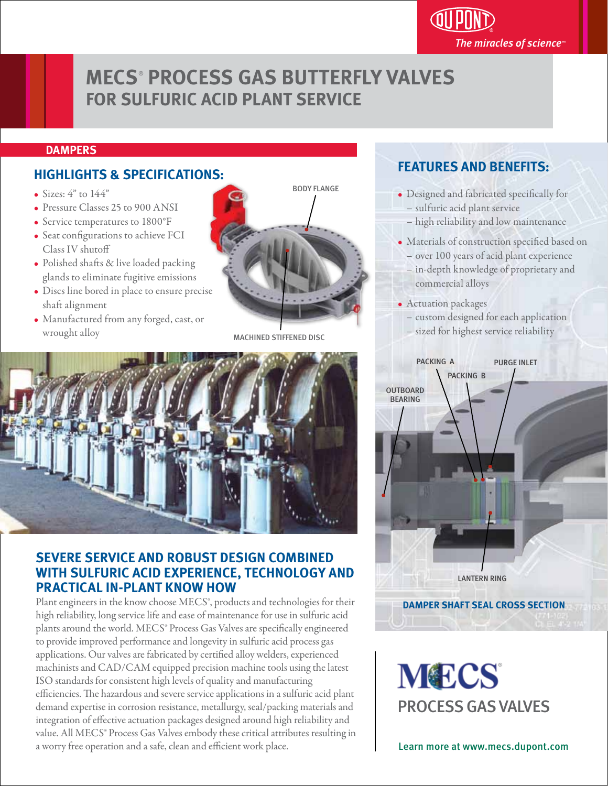# **MECS**®  **PROCESS GAS BUTTERFLY VALVES FOR SULFURIC ACID PLANT SERVICE**

#### **DAMPERS**

## **HIGHLIGHTS & SPECIFICATIONS:**

- Sizes:  $4"$  to  $144"$
- Pressure Classes 25 to 900 ANSI
- Service temperatures to 1800°F
- Seat configurations to achieve FCI Class IV shuto
- Polished shafts & live loaded packing glands to eliminate fugitive emissions
- Discs line bored in place to ensure precise shaft alignment
- Manufactured from any forged, cast, or wrought alloy



MACHINED STIFFENED DISC



### **SEVERE SERVICE AND ROBUST DESIGN COMBINED WITH SULFURIC ACID EXPERIENCE, TECHNOLOGY AND PRACTICAL IN-PLANT KNOW HOW**

Plant engineers in the know choose MECS®, products and technologies for their high reliability, long service life and ease of maintenance for use in sulfuric acid plants around the world. MECS® Process Gas Valves are specifically engineered to provide improved performance and longevity in sulfuric acid process gas applications. Our valves are fabricated by certified alloy welders, experienced machinists and CAD/CAM equipped precision machine tools using the latest ISO standards for consistent high levels of quality and manufacturing efficiencies. The hazardous and severe service applications in a sulfuric acid plant demand expertise in corrosion resistance, metallurgy, seal/packing materials and integration of effective actuation packages designed around high reliability and value. All MECS® Process Gas Valves embody these critical attributes resulting in a worry free operation and a safe, clean and efficient work place. **Learn more at www.mecs.dupont.com** 

### **FEATURES AND BENEFITS:**

- Designed and fabricated specifically for – sulfuric acid plant service
	- high reliability and low maintenance
- Materials of construction specified based on – over 100 years of acid plant experience

The miracles of science $\mathbb P$ 

- in-depth knowledge of proprietary and commercial alloys
- Actuation packages
	- custom designed for each application – sized for highest service reliability



**MECS** PROCESS GAS VALVES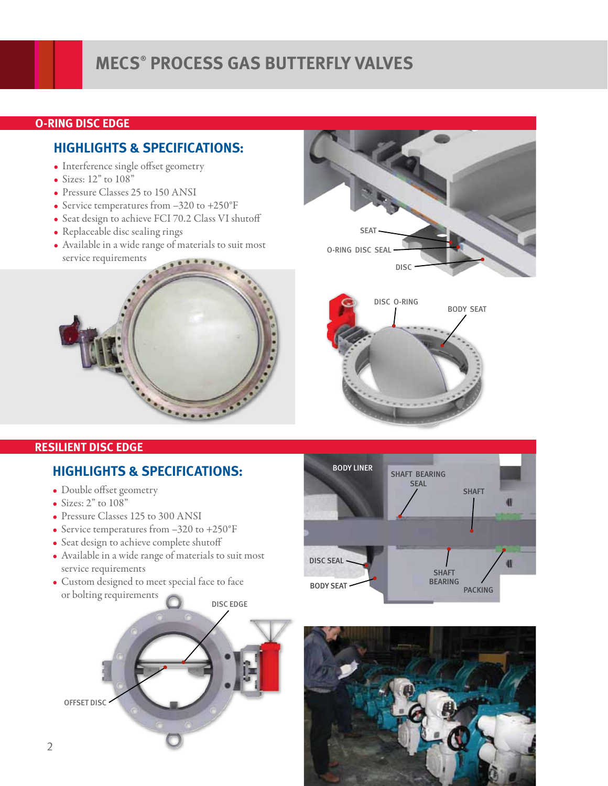# **MECS® PROCESS GAS BUTTERFLY VALVES**

### **O-RING DISC EDGE**

## **HIGHLIGHTS & SPECIFICATIONS:**

- Interference single offset geometry
- Sizes: 12" to 108"
- Pressure Classes 25 to 150 ANSI
- Service temperatures from -320 to +250°F
- Seat design to achieve FCI 70.2 Class VI shutoff
- Replaceable disc sealing rings
- Available in a wide range of materials to suit most service requirements





# **HIGHLIGHTS & SPECIFICATIONS:**

- Double offset geometry
- Sizes:  $2"$  to  $108"$
- Pressure Classes 125 to 300 ANSI
- Service temperatures from -320 to +250°F
- Seat design to achieve complete shutoff
- Available in a wide range of materials to suit most service requirements
- Custom designed to meet special face to face or bolting requirements





DISC O-RING

DISC

**SEAT** 

O-RING DISC SEAL

BODY SEAT

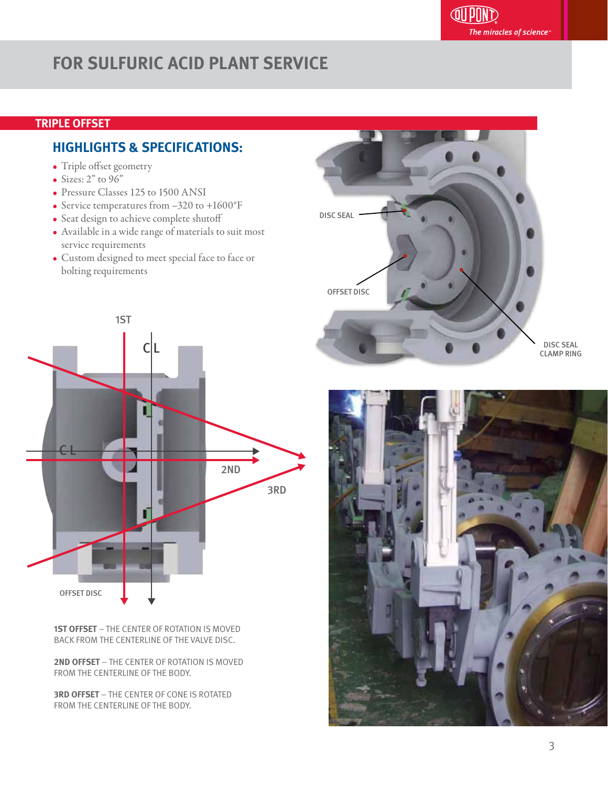# **FOR SULFURIC ACID PLANT SERVICE**

### **TRIPLE OFFSET**

## **HIGHLIGHTS & SPECIFICATIONS:**

- Triple offset geometry
- Sizes:  $2"$  to  $96"$
- Pressure Classes 125 to 1500 ANSI
- Service temperatures from -320 to +1600°F
- Seat design to achieve complete shutoff
- Available in a wide range of materials to suit most service requirements
- Custom designed to meet special face to face or bolting requirements



**1ST OFFSET** – THE CENTER OF ROTATION IS MOVED BACK FROM THE CENTERLINE OF THE VALVE DISC.

**2ND OFFSET** – THE CENTER OF ROTATION IS MOVED FROM THE CENTERLINE OF THE BODY.

**3RD OFFSET** – THE CENTER OF CONE IS ROTATED FROM THE CENTERLINE OF THE BODY.